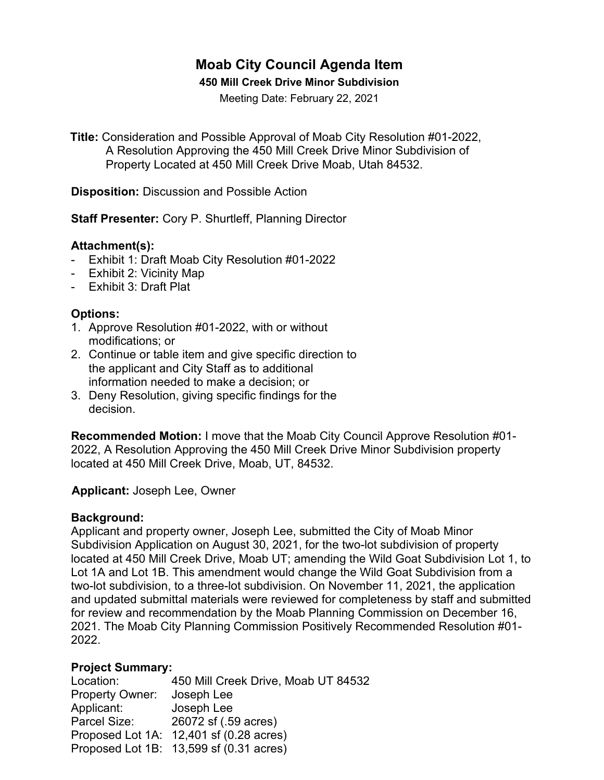# **Moab City Council Agenda Item**

#### **450 Mill Creek Drive Minor Subdivision**

Meeting Date: February 22, 2021

**Title:** Consideration and Possible Approval of Moab City Resolution #01-2022, A Resolution Approving the 450 Mill Creek Drive Minor Subdivision of Property Located at 450 Mill Creek Drive Moab, Utah 84532.

**Disposition:** Discussion and Possible Action

**Staff Presenter:** Cory P. Shurtleff, Planning Director

# **Attachment(s):**

- Exhibit 1: Draft Moab City Resolution #01-2022
- Exhibit 2: Vicinity Map
- Exhibit 3: Draft Plat

# **Options:**

- 1. Approve Resolution #01-2022, with or without modifications; or
- 2. Continue or table item and give specific direction to the applicant and City Staff as to additional information needed to make a decision; or
- 3. Deny Resolution, giving specific findings for the decision.

**Recommended Motion:** I move that the Moab City Council Approve Resolution #01- 2022, A Resolution Approving the 450 Mill Creek Drive Minor Subdivision property located at 450 Mill Creek Drive, Moab, UT, 84532.

 **Applicant:** Joseph Lee, Owner

#### **Background:**

Applicant and property owner, Joseph Lee, submitted the City of Moab Minor Subdivision Application on August 30, 2021, for the two-lot subdivision of property located at 450 Mill Creek Drive, Moab UT; amending the Wild Goat Subdivision Lot 1, to Lot 1A and Lot 1B. This amendment would change the Wild Goat Subdivision from a two-lot subdivision, to a three-lot subdivision. On November 11, 2021, the application and updated submittal materials were reviewed for completeness by staff and submitted for review and recommendation by the Moab Planning Commission on December 16, 2021. The Moab City Planning Commission Positively Recommended Resolution #01- 2022.

#### **Project Summary:**

| 450 Mill Creek Drive, Moab UT 84532     |
|-----------------------------------------|
| Joseph Lee                              |
| Joseph Lee                              |
| 26072 sf (.59 acres)                    |
| Proposed Lot 1A: 12,401 sf (0.28 acres) |
| Proposed Lot 1B: 13,599 sf (0.31 acres) |
|                                         |